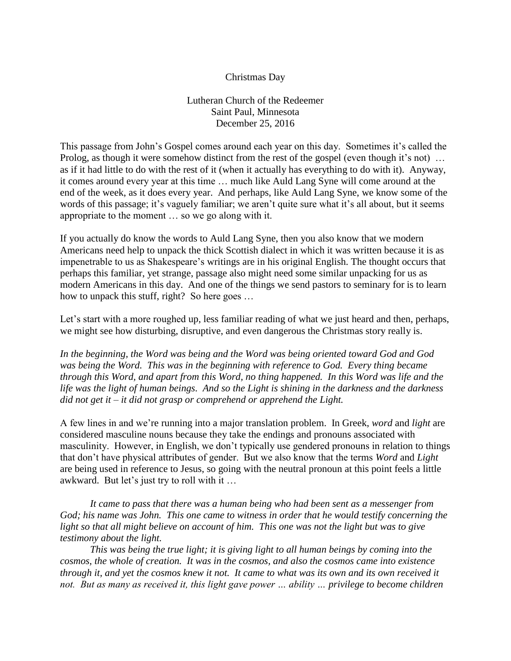## Christmas Day

Lutheran Church of the Redeemer Saint Paul, Minnesota December 25, 2016

This passage from John's Gospel comes around each year on this day. Sometimes it's called the Prolog, as though it were somehow distinct from the rest of the gospel (even though it's not) ... as if it had little to do with the rest of it (when it actually has everything to do with it). Anyway, it comes around every year at this time … much like Auld Lang Syne will come around at the end of the week, as it does every year. And perhaps, like Auld Lang Syne, we know some of the words of this passage; it's vaguely familiar; we aren't quite sure what it's all about, but it seems appropriate to the moment … so we go along with it.

If you actually do know the words to Auld Lang Syne, then you also know that we modern Americans need help to unpack the thick Scottish dialect in which it was written because it is as impenetrable to us as Shakespeare's writings are in his original English. The thought occurs that perhaps this familiar, yet strange, passage also might need some similar unpacking for us as modern Americans in this day. And one of the things we send pastors to seminary for is to learn how to unpack this stuff, right? So here goes ...

Let's start with a more roughed up, less familiar reading of what we just heard and then, perhaps, we might see how disturbing, disruptive, and even dangerous the Christmas story really is.

*In the beginning, the Word was being and the Word was being oriented toward God and God was being the Word. This was in the beginning with reference to God. Every thing became through this Word, and apart from this Word, no thing happened. In this Word was life and the life was the light of human beings. And so the Light is shining in the darkness and the darkness did not get it – it did not grasp or comprehend or apprehend the Light.*

A few lines in and we're running into a major translation problem. In Greek, *word* and *light* are considered masculine nouns because they take the endings and pronouns associated with masculinity. However, in English, we don't typically use gendered pronouns in relation to things that don't have physical attributes of gender. But we also know that the terms *Word* and *Light* are being used in reference to Jesus, so going with the neutral pronoun at this point feels a little awkward. But let's just try to roll with it …

*It came to pass that there was a human being who had been sent as a messenger from God; his name was John. This one came to witness in order that he would testify concerning the light so that all might believe on account of him. This one was not the light but was to give testimony about the light.*

*This was being the true light; it is giving light to all human beings by coming into the cosmos, the whole of creation. It was in the cosmos, and also the cosmos came into existence through it, and yet the cosmos knew it not. It came to what was its own and its own received it not. But as many as received it, this light gave power ... ability ... privilege to become children*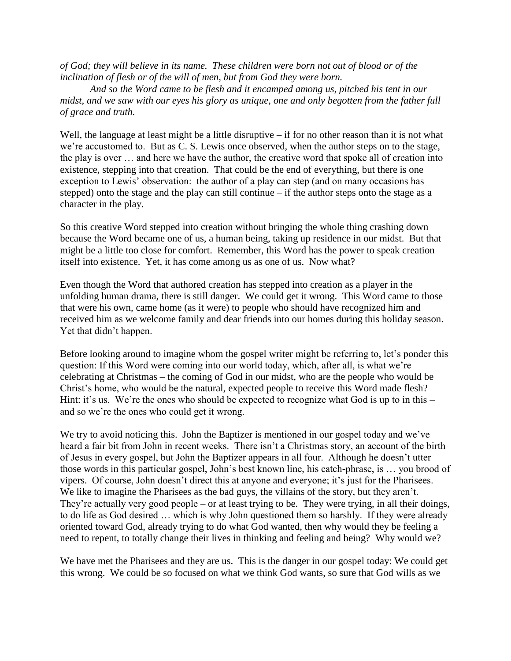*of God; they will believe in its name. These children were born not out of blood or of the inclination of flesh or of the will of men, but from God they were born.*

*And so the Word came to be flesh and it encamped among us, pitched his tent in our midst, and we saw with our eyes his glory as unique, one and only begotten from the father full of grace and truth.*

Well, the language at least might be a little disruptive – if for no other reason than it is not what we're accustomed to. But as C. S. Lewis once observed, when the author steps on to the stage, the play is over … and here we have the author, the creative word that spoke all of creation into existence, stepping into that creation. That could be the end of everything, but there is one exception to Lewis' observation: the author of a play can step (and on many occasions has stepped) onto the stage and the play can still continue – if the author steps onto the stage as a character in the play.

So this creative Word stepped into creation without bringing the whole thing crashing down because the Word became one of us, a human being, taking up residence in our midst. But that might be a little too close for comfort. Remember, this Word has the power to speak creation itself into existence. Yet, it has come among us as one of us. Now what?

Even though the Word that authored creation has stepped into creation as a player in the unfolding human drama, there is still danger. We could get it wrong. This Word came to those that were his own, came home (as it were) to people who should have recognized him and received him as we welcome family and dear friends into our homes during this holiday season. Yet that didn't happen.

Before looking around to imagine whom the gospel writer might be referring to, let's ponder this question: If this Word were coming into our world today, which, after all, is what we're celebrating at Christmas – the coming of God in our midst, who are the people who would be Christ's home, who would be the natural, expected people to receive this Word made flesh? Hint: it's us. We're the ones who should be expected to recognize what God is up to in this – and so we're the ones who could get it wrong.

We try to avoid noticing this. John the Baptizer is mentioned in our gospel today and we've heard a fair bit from John in recent weeks. There isn't a Christmas story, an account of the birth of Jesus in every gospel, but John the Baptizer appears in all four. Although he doesn't utter those words in this particular gospel, John's best known line, his catch-phrase, is … you brood of vipers. Of course, John doesn't direct this at anyone and everyone; it's just for the Pharisees. We like to imagine the Pharisees as the bad guys, the villains of the story, but they aren't. They're actually very good people – or at least trying to be. They were trying, in all their doings, to do life as God desired … which is why John questioned them so harshly. If they were already oriented toward God, already trying to do what God wanted, then why would they be feeling a need to repent, to totally change their lives in thinking and feeling and being? Why would we?

We have met the Pharisees and they are us. This is the danger in our gospel today: We could get this wrong. We could be so focused on what we think God wants, so sure that God wills as we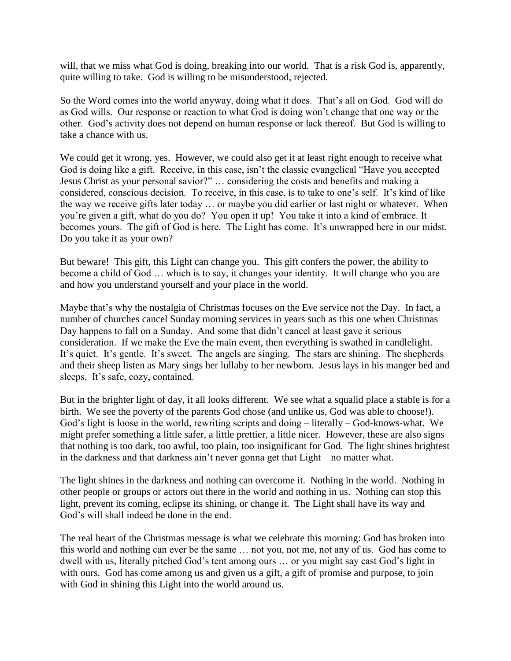will, that we miss what God is doing, breaking into our world. That is a risk God is, apparently, quite willing to take. God is willing to be misunderstood, rejected.

So the Word comes into the world anyway, doing what it does. That's all on God. God will do as God wills. Our response or reaction to what God is doing won't change that one way or the other. God's activity does not depend on human response or lack thereof. But God is willing to take a chance with us.

We could get it wrong, yes. However, we could also get it at least right enough to receive what God is doing like a gift. Receive, in this case, isn't the classic evangelical "Have you accepted Jesus Christ as your personal savior?" … considering the costs and benefits and making a considered, conscious decision. To receive, in this case, is to take to one's self. It's kind of like the way we receive gifts later today … or maybe you did earlier or last night or whatever. When you're given a gift, what do you do? You open it up! You take it into a kind of embrace. It becomes yours. The gift of God is here. The Light has come. It's unwrapped here in our midst. Do you take it as your own?

But beware! This gift, this Light can change you. This gift confers the power, the ability to become a child of God … which is to say, it changes your identity. It will change who you are and how you understand yourself and your place in the world.

Maybe that's why the nostalgia of Christmas focuses on the Eve service not the Day. In fact, a number of churches cancel Sunday morning services in years such as this one when Christmas Day happens to fall on a Sunday. And some that didn't cancel at least gave it serious consideration. If we make the Eve the main event, then everything is swathed in candlelight. It's quiet. It's gentle. It's sweet. The angels are singing. The stars are shining. The shepherds and their sheep listen as Mary sings her lullaby to her newborn. Jesus lays in his manger bed and sleeps. It's safe, cozy, contained.

But in the brighter light of day, it all looks different. We see what a squalid place a stable is for a birth. We see the poverty of the parents God chose (and unlike us, God was able to choose!). God's light is loose in the world, rewriting scripts and doing – literally – God-knows-what. We might prefer something a little safer, a little prettier, a little nicer. However, these are also signs that nothing is too dark, too awful, too plain, too insignificant for God. The light shines brightest in the darkness and that darkness ain't never gonna get that Light – no matter what.

The light shines in the darkness and nothing can overcome it. Nothing in the world. Nothing in other people or groups or actors out there in the world and nothing in us. Nothing can stop this light, prevent its coming, eclipse its shining, or change it. The Light shall have its way and God's will shall indeed be done in the end.

The real heart of the Christmas message is what we celebrate this morning: God has broken into this world and nothing can ever be the same … not you, not me, not any of us. God has come to dwell with us, literally pitched God's tent among ours … or you might say cast God's light in with ours. God has come among us and given us a gift, a gift of promise and purpose, to join with God in shining this Light into the world around us.